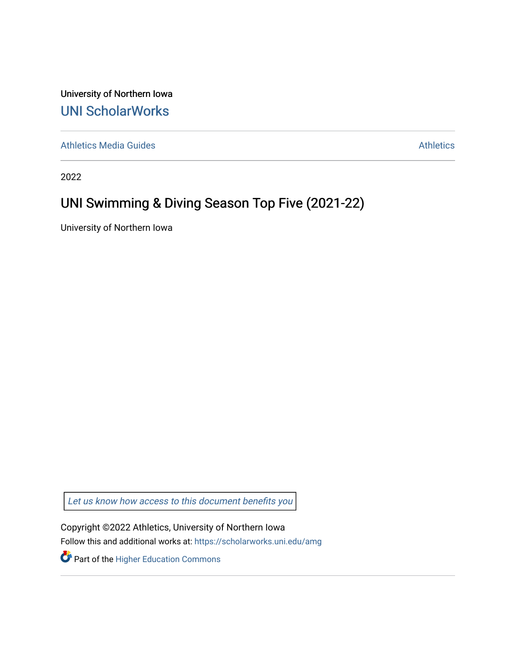University of Northern Iowa [UNI ScholarWorks](https://scholarworks.uni.edu/) 

[Athletics Media Guides](https://scholarworks.uni.edu/amg) **Athletics** [Athletics](https://scholarworks.uni.edu/athletics) Athletics **Athletics** 

2022

### UNI Swimming & Diving Season Top Five (2021-22)

University of Northern Iowa

[Let us know how access to this document benefits you](https://scholarworks.uni.edu/feedback_form.html) 

Copyright ©2022 Athletics, University of Northern Iowa Follow this and additional works at: [https://scholarworks.uni.edu/amg](https://scholarworks.uni.edu/amg?utm_source=scholarworks.uni.edu%2Famg%2F412&utm_medium=PDF&utm_campaign=PDFCoverPages)

Part of the [Higher Education Commons](http://network.bepress.com/hgg/discipline/1245?utm_source=scholarworks.uni.edu%2Famg%2F412&utm_medium=PDF&utm_campaign=PDFCoverPages)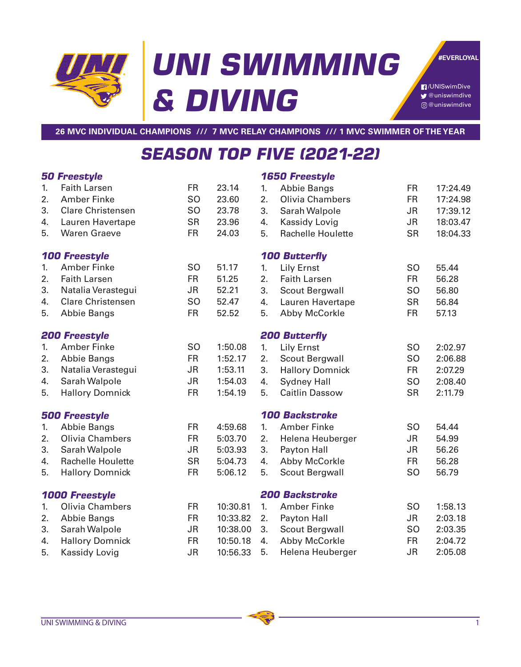# **UNI SWIMMING & DIVING**

**#EVERLOYAL**

/UNISwimDive  $\bigtriangledown$  @uniswimdive @uniswimdive

**26 MVC INDIVIDUAL CHAMPIONS /// 7 MVC RELAY CHAMPIONS /// 1 MVC SWIMMER OF THE YEAR**

## **SEASON TOP FIVE (2021-22)**

#### **50 Freestyle**

#### **1650 Freestyle**

|                       | UU I I GGJUYIG           |                |                       |                      | UUU I I GGJUYIG          |                |          |  |
|-----------------------|--------------------------|----------------|-----------------------|----------------------|--------------------------|----------------|----------|--|
| 1.                    | <b>Faith Larsen</b>      | <b>FR</b>      | 23.14                 | 1.                   | <b>Abbie Bangs</b>       | <b>FR</b>      | 17:24.49 |  |
| 2.                    | <b>Amber Finke</b>       | S <sub>O</sub> | 23.60                 | 2.                   | <b>Olivia Chambers</b>   | <b>FR</b>      | 17:24.98 |  |
| 3.                    | <b>Clare Christensen</b> | <b>SO</b>      | 23.78                 | 3.                   | Sarah Walpole            | <b>JR</b>      | 17:39.12 |  |
| 4.                    | Lauren Havertape         | <b>SR</b>      | 23.96                 | 4.                   | Kassidy Lovig            | <b>JR</b>      | 18:03.47 |  |
| 5.                    | <b>Waren Graeve</b>      | <b>FR</b>      | 24.03                 | 5.                   | <b>Rachelle Houlette</b> | <b>SR</b>      | 18:04.33 |  |
| <b>100 Freestyle</b>  |                          |                |                       | <b>100 Butterfly</b> |                          |                |          |  |
| 1.                    | <b>Amber Finke</b>       | <b>SO</b>      | 51.17                 | 1.                   | <b>Lily Ernst</b>        | <b>SO</b>      | 55.44    |  |
| 2.                    | <b>Faith Larsen</b>      | <b>FR</b>      | 51.25                 | 2.                   | <b>Faith Larsen</b>      | <b>FR</b>      | 56.28    |  |
| 3.                    | Natalia Verastegui       | <b>JR</b>      | 52.21                 | 3.                   | <b>Scout Bergwall</b>    | <b>SO</b>      | 56.80    |  |
| 4.                    | <b>Clare Christensen</b> | S <sub>O</sub> | 52.47                 | 4.                   | Lauren Havertape         | <b>SR</b>      | 56.84    |  |
| 5.                    | <b>Abbie Bangs</b>       | <b>FR</b>      | 52.52                 | 5.                   | <b>Abby McCorkle</b>     | <b>FR</b>      | 57.13    |  |
| <b>200 Freestyle</b>  |                          |                |                       | <b>200 Butterfly</b> |                          |                |          |  |
| 1.                    | <b>Amber Finke</b>       | <b>SO</b>      | 1:50.08               | 1.                   | <b>Lily Ernst</b>        | <b>SO</b>      | 2:02.97  |  |
| 2.                    | <b>Abbie Bangs</b>       | <b>FR</b>      | 1:52.17               | 2.                   | <b>Scout Bergwall</b>    | SO             | 2:06.88  |  |
| 3.                    | Natalia Verastegui       | <b>JR</b>      | 1:53.11               | 3.                   | <b>Hallory Domnick</b>   | <b>FR</b>      | 2:07.29  |  |
| 4.                    | Sarah Walpole            | <b>JR</b>      | 1:54.03               | 4.                   | <b>Sydney Hall</b>       | <b>SO</b>      | 2:08.40  |  |
| 5.                    | <b>Hallory Domnick</b>   | <b>FR</b>      | 1:54.19               | 5.                   | <b>Caitlin Dassow</b>    | <b>SR</b>      | 2:11.79  |  |
| <b>500 Freestyle</b>  |                          |                | <b>100 Backstroke</b> |                      |                          |                |          |  |
| 1.                    | <b>Abbie Bangs</b>       | <b>FR</b>      | 4:59.68               | 1.                   | <b>Amber Finke</b>       | <b>SO</b>      | 54.44    |  |
| 2.                    | Olivia Chambers          | <b>FR</b>      | 5:03.70               | 2.                   | Helena Heuberger         | <b>JR</b>      | 54.99    |  |
| 3.                    | Sarah Walpole            | <b>JR</b>      | 5:03.93               | 3.                   | Payton Hall              | <b>JR</b>      | 56.26    |  |
| 4.                    | <b>Rachelle Houlette</b> | <b>SR</b>      | 5:04.73               | 4.                   | Abby McCorkle            | <b>FR</b>      | 56.28    |  |
| 5.                    | <b>Hallory Domnick</b>   | <b>FR</b>      | 5:06.12               | 5.                   | <b>Scout Bergwall</b>    | S <sub>O</sub> | 56.79    |  |
| <b>1000 Freestyle</b> |                          |                | <b>200 Backstroke</b> |                      |                          |                |          |  |
| 1.                    | Olivia Chambers          | <b>FR</b>      | 10:30.81              | 1.                   | <b>Amber Finke</b>       | <b>SO</b>      | 1:58.13  |  |
| 2.                    | <b>Abbie Bangs</b>       | <b>FR</b>      | 10:33.82              | 2.                   | Payton Hall              | <b>JR</b>      | 2:03.18  |  |
| 3.                    | Sarah Walpole            | <b>JR</b>      | 10:38.00              | 3.                   | Scout Bergwall           | S <sub>O</sub> | 2:03.35  |  |
| 4.                    | <b>Hallory Domnick</b>   | <b>FR</b>      | 10:50.18              | 4.                   | Abby McCorkle            | <b>FR</b>      | 2:04.72  |  |
| 5.                    | <b>Kassidy Lovig</b>     | <b>JR</b>      | 10:56.33              | 5.                   | Helena Heuberger         | <b>JR</b>      | 2:05.08  |  |
|                       |                          |                |                       |                      |                          |                |          |  |